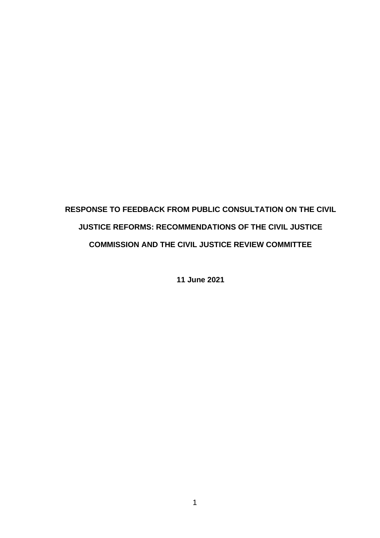# **RESPONSE TO FEEDBACK FROM PUBLIC CONSULTATION ON THE CIVIL JUSTICE REFORMS: RECOMMENDATIONS OF THE CIVIL JUSTICE COMMISSION AND THE CIVIL JUSTICE REVIEW COMMITTEE**

**11 June 2021**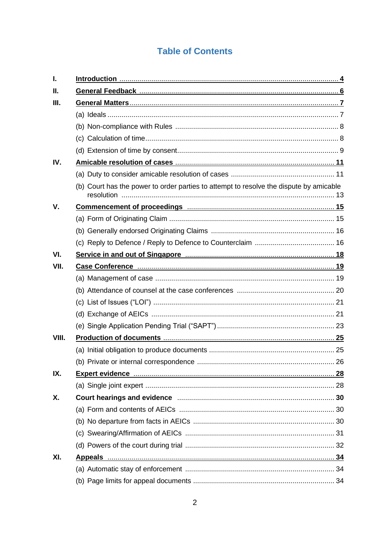### **Table of Contents**

| I.    |                                                                                        |  |  |
|-------|----------------------------------------------------------------------------------------|--|--|
| Н.    |                                                                                        |  |  |
| Ш.    |                                                                                        |  |  |
|       |                                                                                        |  |  |
|       |                                                                                        |  |  |
|       |                                                                                        |  |  |
|       |                                                                                        |  |  |
| IV.   |                                                                                        |  |  |
|       |                                                                                        |  |  |
|       | (b) Court has the power to order parties to attempt to resolve the dispute by amicable |  |  |
| V.    |                                                                                        |  |  |
|       |                                                                                        |  |  |
|       |                                                                                        |  |  |
|       |                                                                                        |  |  |
| VI.   |                                                                                        |  |  |
| VII.  |                                                                                        |  |  |
|       |                                                                                        |  |  |
|       |                                                                                        |  |  |
|       |                                                                                        |  |  |
|       |                                                                                        |  |  |
|       |                                                                                        |  |  |
| VIII. |                                                                                        |  |  |
|       |                                                                                        |  |  |
|       |                                                                                        |  |  |
| IX.   |                                                                                        |  |  |
|       |                                                                                        |  |  |
| Χ.    |                                                                                        |  |  |
|       |                                                                                        |  |  |
|       |                                                                                        |  |  |
|       |                                                                                        |  |  |
|       |                                                                                        |  |  |
| XI.   |                                                                                        |  |  |
|       |                                                                                        |  |  |
|       |                                                                                        |  |  |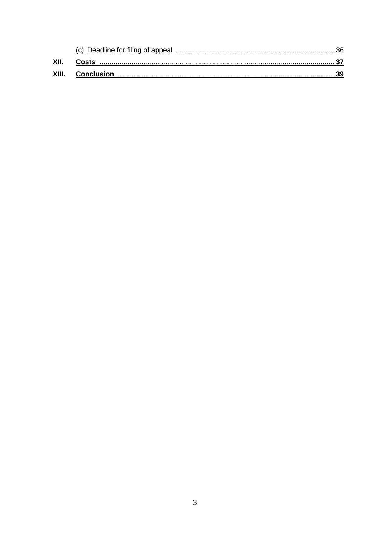| XII.  | Costs      |  |
|-------|------------|--|
| XIII. | Conclusion |  |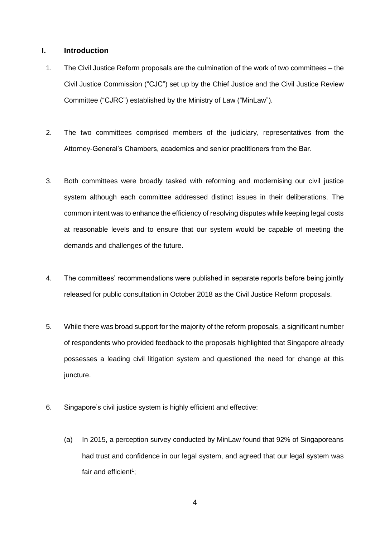#### <span id="page-3-0"></span>**I. Introduction**

- 1. The Civil Justice Reform proposals are the culmination of the work of two committees the Civil Justice Commission ("CJC") set up by the Chief Justice and the Civil Justice Review Committee ("CJRC") established by the Ministry of Law ("MinLaw").
- 2. The two committees comprised members of the judiciary, representatives from the Attorney-General's Chambers, academics and senior practitioners from the Bar.
- 3. Both committees were broadly tasked with reforming and modernising our civil justice system although each committee addressed distinct issues in their deliberations. The common intent was to enhance the efficiency of resolving disputes while keeping legal costs at reasonable levels and to ensure that our system would be capable of meeting the demands and challenges of the future.
- 4. The committees' recommendations were published in separate reports before being jointly released for public consultation in October 2018 as the Civil Justice Reform proposals.
- 5. While there was broad support for the majority of the reform proposals, a significant number of respondents who provided feedback to the proposals highlighted that Singapore already possesses a leading civil litigation system and questioned the need for change at this juncture.
- 6. Singapore's civil justice system is highly efficient and effective:
	- (a) In 2015, a perception survey conducted by MinLaw found that 92% of Singaporeans had trust and confidence in our legal system, and agreed that our legal system was fair and efficient<sup>1</sup>;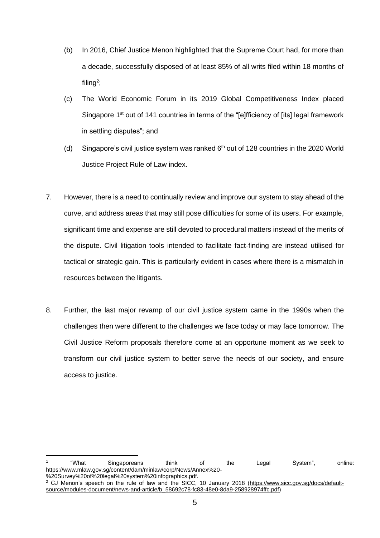- (b) In 2016, Chief Justice Menon highlighted that the Supreme Court had, for more than a decade, successfully disposed of at least 85% of all writs filed within 18 months of filing<sup>2</sup>;
- (c) The World Economic Forum in its 2019 Global Competitiveness Index placed Singapore 1<sup>st</sup> out of 141 countries in terms of the "[e]fficiency of [its] legal framework in settling disputes"; and
- (d) Singapore's civil justice system was ranked  $6<sup>th</sup>$  out of 128 countries in the 2020 World Justice Project Rule of Law index.
- 7. However, there is a need to continually review and improve our system to stay ahead of the curve, and address areas that may still pose difficulties for some of its users. For example, significant time and expense are still devoted to procedural matters instead of the merits of the dispute. Civil litigation tools intended to facilitate fact-finding are instead utilised for tactical or strategic gain. This is particularly evident in cases where there is a mismatch in resources between the litigants.
- 8. Further, the last major revamp of our civil justice system came in the 1990s when the challenges then were different to the challenges we face today or may face tomorrow. The Civil Justice Reform proposals therefore come at an opportune moment as we seek to transform our civil justice system to better serve the needs of our society, and ensure access to justice.

<sup>1</sup> "What Singaporeans think of the Legal System", online: https://www.mlaw.gov.sg/content/dam/minlaw/corp/News/Annex%20- %20Survey%20of%20legal%20system%20infographics.pdf.

<sup>2</sup> CJ Menon's speech on the rule of law and the SICC, 10 January 2018 (https://www.sicc.gov.sg/docs/defaultsource/modules-document/news-and-article/b\_58692c78-fc83-48e0-8da9-258928974ffc.pdf)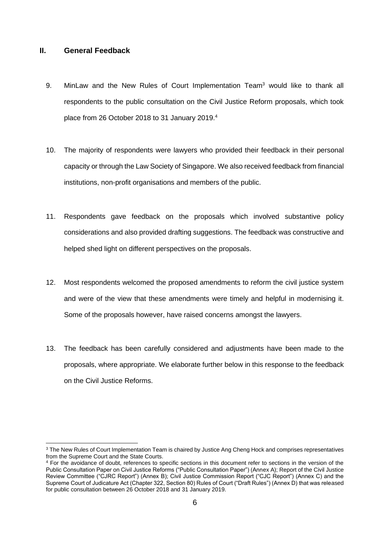#### <span id="page-5-0"></span>**II. General Feedback**

- 9. MinLaw and the New Rules of Court Implementation Team<sup>3</sup> would like to thank all respondents to the public consultation on the Civil Justice Reform proposals, which took place from 26 October 2018 to 31 January 2019.<sup>4</sup>
- 10. The majority of respondents were lawyers who provided their feedback in their personal capacity or through the Law Society of Singapore. We also received feedback from financial institutions, non-profit organisations and members of the public.
- 11. Respondents gave feedback on the proposals which involved substantive policy considerations and also provided drafting suggestions. The feedback was constructive and helped shed light on different perspectives on the proposals.
- 12. Most respondents welcomed the proposed amendments to reform the civil justice system and were of the view that these amendments were timely and helpful in modernising it. Some of the proposals however, have raised concerns amongst the lawyers.
- 13. The feedback has been carefully considered and adjustments have been made to the proposals, where appropriate. We elaborate further below in this response to the feedback on the Civil Justice Reforms.

<sup>&</sup>lt;sup>3</sup> The New Rules of Court Implementation Team is chaired by Justice Ang Cheng Hock and comprises representatives from the Supreme Court and the State Courts.

<sup>&</sup>lt;sup>4</sup> For the avoidance of doubt, references to specific sections in this document refer to sections in the version of the Public Consultation Paper on Civil Justice Reforms ("Public Consultation Paper") (Annex A); Report of the Civil Justice Review Committee ("CJRC Report") (Annex B); Civil Justice Commission Report ("CJC Report") (Annex C) and the Supreme Court of Judicature Act (Chapter 322, Section 80) Rules of Court ("Draft Rules") (Annex D) that was released for public consultation between 26 October 2018 and 31 January 2019.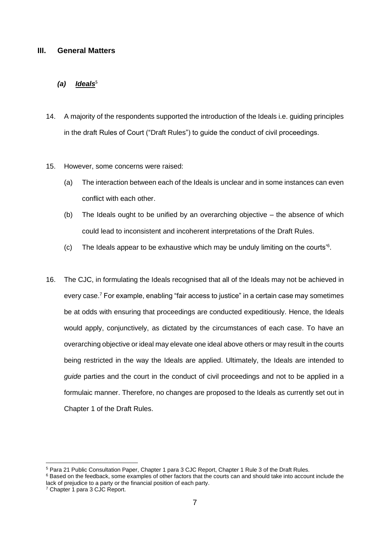#### <span id="page-6-0"></span>**III. General Matters**

#### *(a) Ideals***<sup>5</sup>**

- 14. A majority of the respondents supported the introduction of the Ideals i.e. guiding principles in the draft Rules of Court ("Draft Rules") to guide the conduct of civil proceedings.
- 15. However, some concerns were raised:
	- (a) The interaction between each of the Ideals is unclear and in some instances can even conflict with each other.
	- (b) The Ideals ought to be unified by an overarching objective the absence of which could lead to inconsistent and incoherent interpretations of the Draft Rules.
	- (c) The Ideals appear to be exhaustive which may be unduly limiting on the courts'<sup>6</sup> .
- 16. The CJC, in formulating the Ideals recognised that all of the Ideals may not be achieved in every case.<sup>7</sup> For example, enabling "fair access to justice" in a certain case may sometimes be at odds with ensuring that proceedings are conducted expeditiously. Hence, the Ideals would apply, conjunctively, as dictated by the circumstances of each case. To have an overarching objective or ideal may elevate one ideal above others or may result in the courts being restricted in the way the Ideals are applied. Ultimately, the Ideals are intended to *guide* parties and the court in the conduct of civil proceedings and not to be applied in a formulaic manner. Therefore, no changes are proposed to the Ideals as currently set out in Chapter 1 of the Draft Rules.

<sup>5</sup> Para 21 Public Consultation Paper, Chapter 1 para 3 CJC Report, Chapter 1 Rule 3 of the Draft Rules.

<sup>&</sup>lt;sup>6</sup> Based on the feedback, some examples of other factors that the courts can and should take into account include the lack of prejudice to a party or the financial position of each party.

<sup>7</sup> Chapter 1 para 3 CJC Report.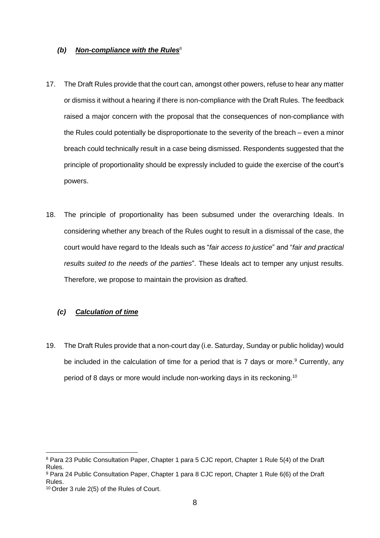#### *(b) Non-compliance with the Rules***<sup>8</sup>**

- 17. The Draft Rules provide that the court can, amongst other powers, refuse to hear any matter or dismiss it without a hearing if there is non-compliance with the Draft Rules. The feedback raised a major concern with the proposal that the consequences of non-compliance with the Rules could potentially be disproportionate to the severity of the breach – even a minor breach could technically result in a case being dismissed. Respondents suggested that the principle of proportionality should be expressly included to guide the exercise of the court's powers.
- 18. The principle of proportionality has been subsumed under the overarching Ideals. In considering whether any breach of the Rules ought to result in a dismissal of the case, the court would have regard to the Ideals such as "*fair access to justice*" and "*fair and practical results suited to the needs of the parties*". These Ideals act to temper any unjust results. Therefore, we propose to maintain the provision as drafted.

#### *(c) Calculation of time*

19. The Draft Rules provide that a non-court day (i.e. Saturday, Sunday or public holiday) would be included in the calculation of time for a period that is  $7$  days or more.<sup>9</sup> Currently, any period of 8 days or more would include non-working days in its reckoning.<sup>10</sup>

<sup>8</sup> Para 23 Public Consultation Paper, Chapter 1 para 5 CJC report, Chapter 1 Rule 5(4) of the Draft Rules.

<sup>9</sup> Para 24 Public Consultation Paper, Chapter 1 para 8 CJC report, Chapter 1 Rule 6(6) of the Draft Rules.

<sup>10</sup> Order 3 rule 2(5) of the Rules of Court.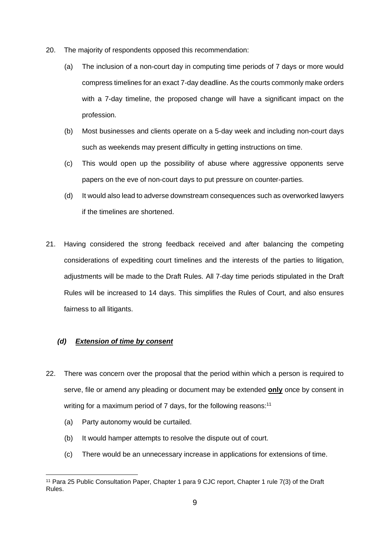- 20. The majority of respondents opposed this recommendation:
	- (a) The inclusion of a non-court day in computing time periods of 7 days or more would compress timelines for an exact 7-day deadline. As the courts commonly make orders with a 7-day timeline, the proposed change will have a significant impact on the profession.
	- (b) Most businesses and clients operate on a 5-day week and including non-court days such as weekends may present difficulty in getting instructions on time.
	- (c) This would open up the possibility of abuse where aggressive opponents serve papers on the eve of non-court days to put pressure on counter-parties.
	- (d) It would also lead to adverse downstream consequences such as overworked lawyers if the timelines are shortened.
- 21. Having considered the strong feedback received and after balancing the competing considerations of expediting court timelines and the interests of the parties to litigation, adjustments will be made to the Draft Rules. All 7-day time periods stipulated in the Draft Rules will be increased to 14 days. This simplifies the Rules of Court, and also ensures fairness to all litigants.

#### *(d) Extension of time by consent*

- 22. There was concern over the proposal that the period within which a person is required to serve, file or amend any pleading or document may be extended **only** once by consent in writing for a maximum period of 7 days, for the following reasons:<sup>11</sup>
	- (a) Party autonomy would be curtailed.
	- (b) It would hamper attempts to resolve the dispute out of court.
	- (c) There would be an unnecessary increase in applications for extensions of time.

<sup>11</sup> Para 25 Public Consultation Paper, Chapter 1 para 9 CJC report, Chapter 1 rule 7(3) of the Draft Rules.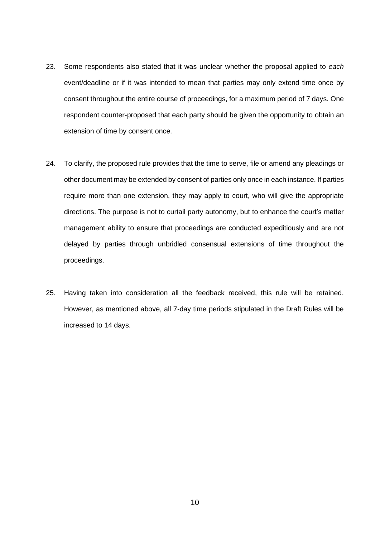- 23. Some respondents also stated that it was unclear whether the proposal applied to *each* event/deadline or if it was intended to mean that parties may only extend time once by consent throughout the entire course of proceedings, for a maximum period of 7 days. One respondent counter-proposed that each party should be given the opportunity to obtain an extension of time by consent once.
- 24. To clarify, the proposed rule provides that the time to serve, file or amend any pleadings or other document may be extended by consent of parties only once in each instance. If parties require more than one extension, they may apply to court, who will give the appropriate directions. The purpose is not to curtail party autonomy, but to enhance the court's matter management ability to ensure that proceedings are conducted expeditiously and are not delayed by parties through unbridled consensual extensions of time throughout the proceedings.
- 25. Having taken into consideration all the feedback received, this rule will be retained. However, as mentioned above, all 7-day time periods stipulated in the Draft Rules will be increased to 14 days.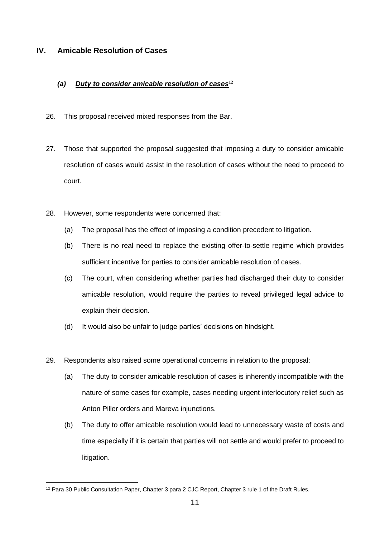#### <span id="page-10-0"></span>**IV. Amicable Resolution of Cases**

#### *(a) Duty to consider amicable resolution of cases***<sup>12</sup>**

- 26. This proposal received mixed responses from the Bar.
- 27. Those that supported the proposal suggested that imposing a duty to consider amicable resolution of cases would assist in the resolution of cases without the need to proceed to court.
- 28. However, some respondents were concerned that:
	- (a) The proposal has the effect of imposing a condition precedent to litigation.
	- (b) There is no real need to replace the existing offer-to-settle regime which provides sufficient incentive for parties to consider amicable resolution of cases.
	- (c) The court, when considering whether parties had discharged their duty to consider amicable resolution, would require the parties to reveal privileged legal advice to explain their decision.
	- (d) It would also be unfair to judge parties' decisions on hindsight.
- 29. Respondents also raised some operational concerns in relation to the proposal:
	- (a) The duty to consider amicable resolution of cases is inherently incompatible with the nature of some cases for example, cases needing urgent interlocutory relief such as Anton Piller orders and Mareva injunctions.
	- (b) The duty to offer amicable resolution would lead to unnecessary waste of costs and time especially if it is certain that parties will not settle and would prefer to proceed to litigation.

<sup>&</sup>lt;sup>12</sup> Para 30 Public Consultation Paper, Chapter 3 para 2 CJC Report, Chapter 3 rule 1 of the Draft Rules.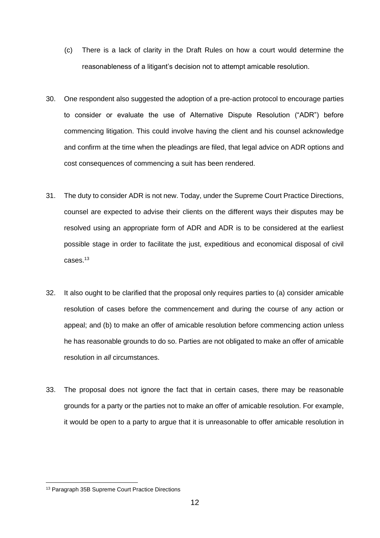- (c) There is a lack of clarity in the Draft Rules on how a court would determine the reasonableness of a litigant's decision not to attempt amicable resolution.
- 30. One respondent also suggested the adoption of a pre-action protocol to encourage parties to consider or evaluate the use of Alternative Dispute Resolution ("ADR") before commencing litigation. This could involve having the client and his counsel acknowledge and confirm at the time when the pleadings are filed, that legal advice on ADR options and cost consequences of commencing a suit has been rendered.
- 31. The duty to consider ADR is not new. Today, under the Supreme Court Practice Directions, counsel are expected to advise their clients on the different ways their disputes may be resolved using an appropriate form of ADR and ADR is to be considered at the earliest possible stage in order to facilitate the just, expeditious and economical disposal of civil cases.<sup>13</sup>
- 32. It also ought to be clarified that the proposal only requires parties to (a) consider amicable resolution of cases before the commencement and during the course of any action or appeal; and (b) to make an offer of amicable resolution before commencing action unless he has reasonable grounds to do so. Parties are not obligated to make an offer of amicable resolution in *all* circumstances.
- 33. The proposal does not ignore the fact that in certain cases, there may be reasonable grounds for a party or the parties not to make an offer of amicable resolution. For example, it would be open to a party to argue that it is unreasonable to offer amicable resolution in

<sup>&</sup>lt;sup>13</sup> Paragraph 35B Supreme Court Practice Directions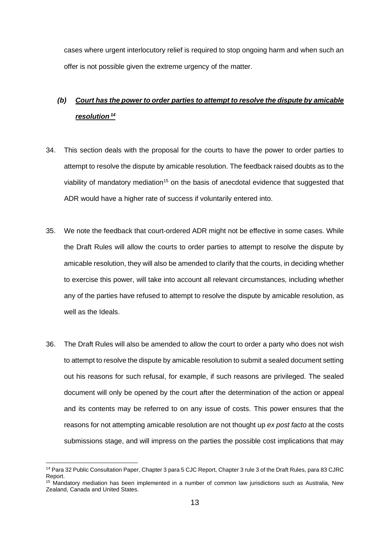cases where urgent interlocutory relief is required to stop ongoing harm and when such an offer is not possible given the extreme urgency of the matter.

### *(b) Court has the power to order parties to attempt to resolve the dispute by amicable resolution <sup>14</sup>*

- 34. This section deals with the proposal for the courts to have the power to order parties to attempt to resolve the dispute by amicable resolution. The feedback raised doubts as to the viability of mandatory mediation<sup>15</sup> on the basis of anecdotal evidence that suggested that ADR would have a higher rate of success if voluntarily entered into.
- 35. We note the feedback that court-ordered ADR might not be effective in some cases. While the Draft Rules will allow the courts to order parties to attempt to resolve the dispute by amicable resolution, they will also be amended to clarify that the courts, in deciding whether to exercise this power, will take into account all relevant circumstances, including whether any of the parties have refused to attempt to resolve the dispute by amicable resolution, as well as the Ideals.
- 36. The Draft Rules will also be amended to allow the court to order a party who does not wish to attempt to resolve the dispute by amicable resolution to submit a sealed document setting out his reasons for such refusal, for example, if such reasons are privileged. The sealed document will only be opened by the court after the determination of the action or appeal and its contents may be referred to on any issue of costs. This power ensures that the reasons for not attempting amicable resolution are not thought up *ex post facto* at the costs submissions stage, and will impress on the parties the possible cost implications that may

<sup>14</sup> Para 32 Public Consultation Paper, Chapter 3 para 5 CJC Report, Chapter 3 rule 3 of the Draft Rules, para 83 CJRC Report.

<sup>15</sup> Mandatory mediation has been implemented in a number of common law jurisdictions such as Australia, New Zealand, Canada and United States.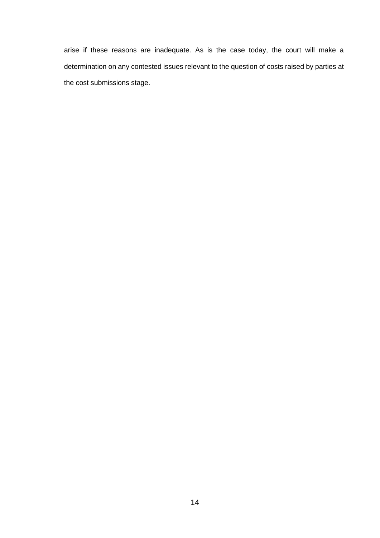arise if these reasons are inadequate. As is the case today, the court will make a determination on any contested issues relevant to the question of costs raised by parties at the cost submissions stage.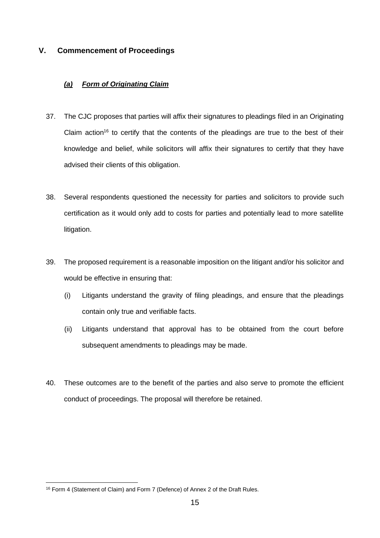#### <span id="page-14-0"></span>**V. Commencement of Proceedings**

#### *(a) Form of Originating Claim*

- 37. The CJC proposes that parties will affix their signatures to pleadings filed in an Originating Claim action<sup>16</sup> to certify that the contents of the pleadings are true to the best of their knowledge and belief, while solicitors will affix their signatures to certify that they have advised their clients of this obligation.
- 38. Several respondents questioned the necessity for parties and solicitors to provide such certification as it would only add to costs for parties and potentially lead to more satellite litigation.
- 39. The proposed requirement is a reasonable imposition on the litigant and/or his solicitor and would be effective in ensuring that:
	- (i) Litigants understand the gravity of filing pleadings, and ensure that the pleadings contain only true and verifiable facts.
	- (ii) Litigants understand that approval has to be obtained from the court before subsequent amendments to pleadings may be made.
- 40. These outcomes are to the benefit of the parties and also serve to promote the efficient conduct of proceedings. The proposal will therefore be retained.

<sup>16</sup> Form 4 (Statement of Claim) and Form 7 (Defence) of Annex 2 of the Draft Rules.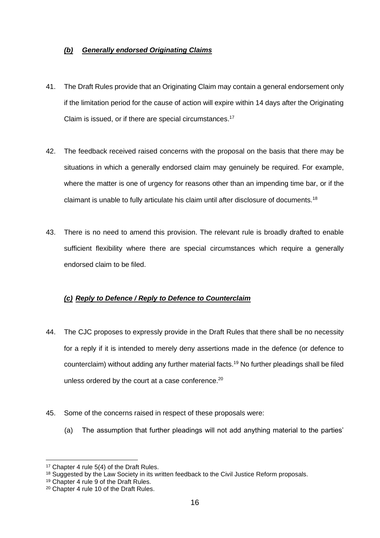#### *(b) Generally endorsed Originating Claims*

- 41. The Draft Rules provide that an Originating Claim may contain a general endorsement only if the limitation period for the cause of action will expire within 14 days after the Originating Claim is issued, or if there are special circumstances. 17
- 42. The feedback received raised concerns with the proposal on the basis that there may be situations in which a generally endorsed claim may genuinely be required. For example, where the matter is one of urgency for reasons other than an impending time bar, or if the claimant is unable to fully articulate his claim until after disclosure of documents.<sup>18</sup>
- 43. There is no need to amend this provision. The relevant rule is broadly drafted to enable sufficient flexibility where there are special circumstances which require a generally endorsed claim to be filed.

#### *(c) Reply to Defence / Reply to Defence to Counterclaim*

- 44. The CJC proposes to expressly provide in the Draft Rules that there shall be no necessity for a reply if it is intended to merely deny assertions made in the defence (or defence to counterclaim) without adding any further material facts. <sup>19</sup> No further pleadings shall be filed unless ordered by the court at a case conference.<sup>20</sup>
- 45. Some of the concerns raised in respect of these proposals were:
	- (a) The assumption that further pleadings will not add anything material to the parties'

<sup>&</sup>lt;sup>17</sup> Chapter 4 rule 5(4) of the Draft Rules.

<sup>&</sup>lt;sup>18</sup> Suggested by the Law Society in its written feedback to the Civil Justice Reform proposals.

<sup>19</sup> Chapter 4 rule 9 of the Draft Rules.

<sup>20</sup> Chapter 4 rule 10 of the Draft Rules.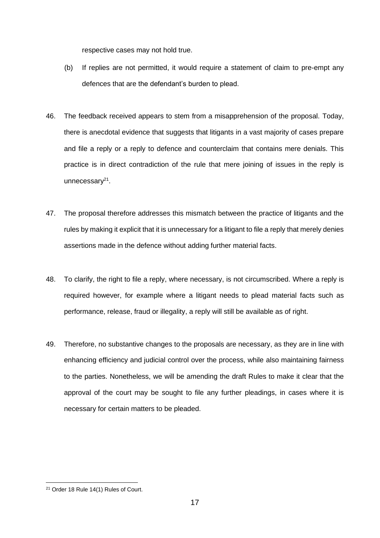respective cases may not hold true.

- (b) If replies are not permitted, it would require a statement of claim to pre-empt any defences that are the defendant's burden to plead.
- 46. The feedback received appears to stem from a misapprehension of the proposal. Today, there is anecdotal evidence that suggests that litigants in a vast majority of cases prepare and file a reply or a reply to defence and counterclaim that contains mere denials. This practice is in direct contradiction of the rule that mere joining of issues in the reply is unnecessary<sup>21</sup>.
- 47. The proposal therefore addresses this mismatch between the practice of litigants and the rules by making it explicit that it is unnecessary for a litigant to file a reply that merely denies assertions made in the defence without adding further material facts.
- 48. To clarify, the right to file a reply, where necessary, is not circumscribed. Where a reply is required however, for example where a litigant needs to plead material facts such as performance, release, fraud or illegality, a reply will still be available as of right.
- 49. Therefore, no substantive changes to the proposals are necessary, as they are in line with enhancing efficiency and judicial control over the process, while also maintaining fairness to the parties. Nonetheless, we will be amending the draft Rules to make it clear that the approval of the court may be sought to file any further pleadings, in cases where it is necessary for certain matters to be pleaded.

<sup>21</sup> Order 18 Rule 14(1) Rules of Court.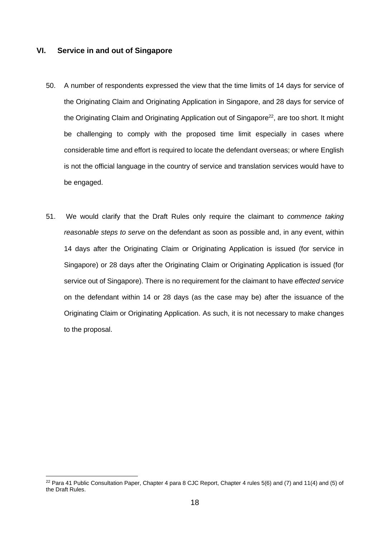#### <span id="page-17-0"></span>**VI. Service in and out of Singapore**

- 50. A number of respondents expressed the view that the time limits of 14 days for service of the Originating Claim and Originating Application in Singapore, and 28 days for service of the Originating Claim and Originating Application out of Singapore<sup>22</sup>, are too short. It might be challenging to comply with the proposed time limit especially in cases where considerable time and effort is required to locate the defendant overseas; or where English is not the official language in the country of service and translation services would have to be engaged.
- 51. We would clarify that the Draft Rules only require the claimant to *commence taking reasonable steps to serve* on the defendant as soon as possible and, in any event, within 14 days after the Originating Claim or Originating Application is issued (for service in Singapore) or 28 days after the Originating Claim or Originating Application is issued (for service out of Singapore). There is no requirement for the claimant to have *effected service*  on the defendant within 14 or 28 days (as the case may be) after the issuance of the Originating Claim or Originating Application. As such, it is not necessary to make changes to the proposal.

 $22$  Para 41 Public Consultation Paper, Chapter 4 para 8 CJC Report, Chapter 4 rules 5(6) and (7) and 11(4) and (5) of the Draft Rules.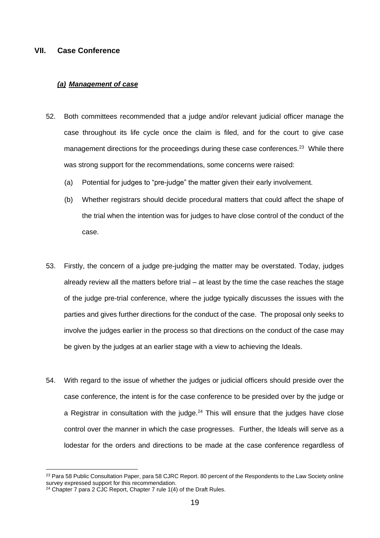#### <span id="page-18-0"></span>**VII. Case Conference**

#### *(a) Management of case*

- 52. Both committees recommended that a judge and/or relevant judicial officer manage the case throughout its life cycle once the claim is filed, and for the court to give case management directions for the proceedings during these case conferences.<sup>23</sup> While there was strong support for the recommendations, some concerns were raised:
	- (a) Potential for judges to "pre-judge" the matter given their early involvement.
	- (b) Whether registrars should decide procedural matters that could affect the shape of the trial when the intention was for judges to have close control of the conduct of the case.
- 53. Firstly, the concern of a judge pre-judging the matter may be overstated. Today, judges already review all the matters before trial – at least by the time the case reaches the stage of the judge pre-trial conference, where the judge typically discusses the issues with the parties and gives further directions for the conduct of the case. The proposal only seeks to involve the judges earlier in the process so that directions on the conduct of the case may be given by the judges at an earlier stage with a view to achieving the Ideals.
- 54. With regard to the issue of whether the judges or judicial officers should preside over the case conference, the intent is for the case conference to be presided over by the judge or a Registrar in consultation with the judge. $24$  This will ensure that the judges have close control over the manner in which the case progresses. Further, the Ideals will serve as a lodestar for the orders and directions to be made at the case conference regardless of

<sup>&</sup>lt;sup>23</sup> Para 58 Public Consultation Paper, para 58 CJRC Report. 80 percent of the Respondents to the Law Society online survey expressed support for this recommendation.

<sup>&</sup>lt;sup>24</sup> Chapter 7 para 2 CJC Report, Chapter 7 rule 1(4) of the Draft Rules.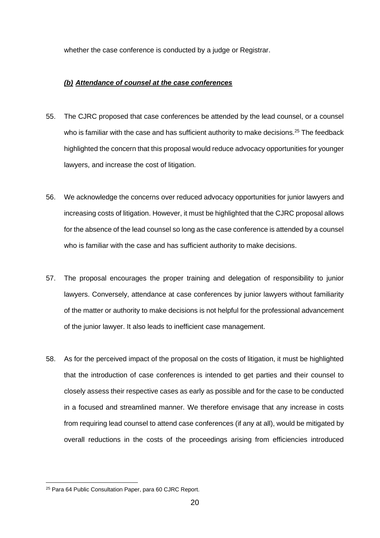whether the case conference is conducted by a judge or Registrar.

#### *(b) Attendance of counsel at the case conferences*

- 55. The CJRC proposed that case conferences be attended by the lead counsel, or a counsel who is familiar with the case and has sufficient authority to make decisions.<sup>25</sup> The feedback highlighted the concern that this proposal would reduce advocacy opportunities for younger lawyers, and increase the cost of litigation.
- 56. We acknowledge the concerns over reduced advocacy opportunities for junior lawyers and increasing costs of litigation. However, it must be highlighted that the CJRC proposal allows for the absence of the lead counsel so long as the case conference is attended by a counsel who is familiar with the case and has sufficient authority to make decisions.
- 57. The proposal encourages the proper training and delegation of responsibility to junior lawyers. Conversely, attendance at case conferences by junior lawyers without familiarity of the matter or authority to make decisions is not helpful for the professional advancement of the junior lawyer. It also leads to inefficient case management.
- 58. As for the perceived impact of the proposal on the costs of litigation, it must be highlighted that the introduction of case conferences is intended to get parties and their counsel to closely assess their respective cases as early as possible and for the case to be conducted in a focused and streamlined manner. We therefore envisage that any increase in costs from requiring lead counsel to attend case conferences (if any at all), would be mitigated by overall reductions in the costs of the proceedings arising from efficiencies introduced

<sup>25</sup> Para 64 Public Consultation Paper, para 60 CJRC Report.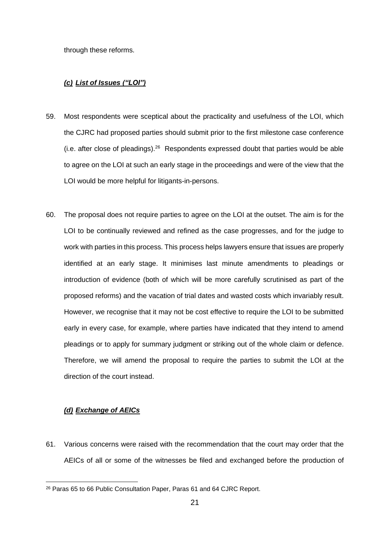through these reforms.

#### *(c) List of Issues ("LOI")*

- 59. Most respondents were sceptical about the practicality and usefulness of the LOI, which the CJRC had proposed parties should submit prior to the first milestone case conference  $(i.e.$  after close of pleadings).<sup>26</sup> Respondents expressed doubt that parties would be able to agree on the LOI at such an early stage in the proceedings and were of the view that the LOI would be more helpful for litigants-in-persons.
- 60. The proposal does not require parties to agree on the LOI at the outset. The aim is for the LOI to be continually reviewed and refined as the case progresses, and for the judge to work with parties in this process. This process helps lawyers ensure that issues are properly identified at an early stage. It minimises last minute amendments to pleadings or introduction of evidence (both of which will be more carefully scrutinised as part of the proposed reforms) and the vacation of trial dates and wasted costs which invariably result. However, we recognise that it may not be cost effective to require the LOI to be submitted early in every case, for example, where parties have indicated that they intend to amend pleadings or to apply for summary judgment or striking out of the whole claim or defence. Therefore, we will amend the proposal to require the parties to submit the LOI at the direction of the court instead.

#### *(d) Exchange of AEICs*

61. Various concerns were raised with the recommendation that the court may order that the AEICs of all or some of the witnesses be filed and exchanged before the production of

<sup>26</sup> Paras 65 to 66 Public Consultation Paper, Paras 61 and 64 CJRC Report.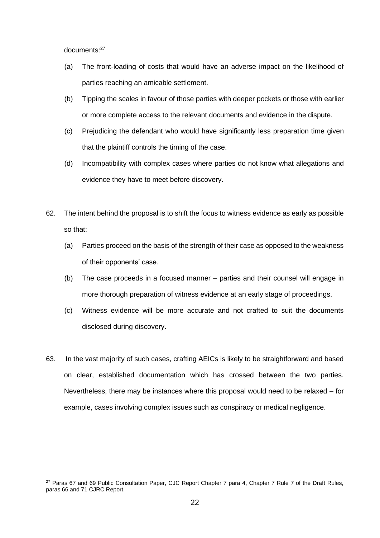documents:<sup>27</sup>

- (a) The front-loading of costs that would have an adverse impact on the likelihood of parties reaching an amicable settlement.
- (b) Tipping the scales in favour of those parties with deeper pockets or those with earlier or more complete access to the relevant documents and evidence in the dispute.
- (c) Prejudicing the defendant who would have significantly less preparation time given that the plaintiff controls the timing of the case.
- (d) Incompatibility with complex cases where parties do not know what allegations and evidence they have to meet before discovery.
- 62. The intent behind the proposal is to shift the focus to witness evidence as early as possible so that:
	- (a) Parties proceed on the basis of the strength of their case as opposed to the weakness of their opponents' case.
	- (b) The case proceeds in a focused manner parties and their counsel will engage in more thorough preparation of witness evidence at an early stage of proceedings.
	- (c) Witness evidence will be more accurate and not crafted to suit the documents disclosed during discovery.
- 63. In the vast majority of such cases, crafting AEICs is likely to be straightforward and based on clear, established documentation which has crossed between the two parties. Nevertheless, there may be instances where this proposal would need to be relaxed – for example, cases involving complex issues such as conspiracy or medical negligence.

<sup>&</sup>lt;sup>27</sup> Paras 67 and 69 Public Consultation Paper, CJC Report Chapter 7 para 4, Chapter 7 Rule 7 of the Draft Rules, paras 66 and 71 CJRC Report.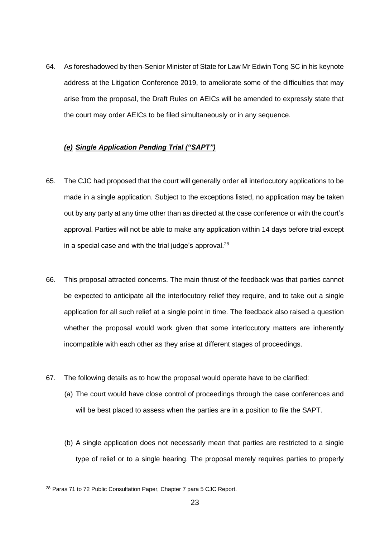64. As foreshadowed by then-Senior Minister of State for Law Mr Edwin Tong SC in his keynote address at the Litigation Conference 2019, to ameliorate some of the difficulties that may arise from the proposal, the Draft Rules on AEICs will be amended to expressly state that the court may order AEICs to be filed simultaneously or in any sequence.

#### *(e) Single Application Pending Trial ("SAPT")*

- 65. The CJC had proposed that the court will generally order all interlocutory applications to be made in a single application. Subject to the exceptions listed, no application may be taken out by any party at any time other than as directed at the case conference or with the court's approval. Parties will not be able to make any application within 14 days before trial except in a special case and with the trial judge's approval. $^{28}$
- 66. This proposal attracted concerns. The main thrust of the feedback was that parties cannot be expected to anticipate all the interlocutory relief they require, and to take out a single application for all such relief at a single point in time. The feedback also raised a question whether the proposal would work given that some interlocutory matters are inherently incompatible with each other as they arise at different stages of proceedings.
- 67. The following details as to how the proposal would operate have to be clarified:
	- (a) The court would have close control of proceedings through the case conferences and will be best placed to assess when the parties are in a position to file the SAPT.
	- (b) A single application does not necessarily mean that parties are restricted to a single type of relief or to a single hearing. The proposal merely requires parties to properly

<sup>28</sup> Paras 71 to 72 Public Consultation Paper, Chapter 7 para 5 CJC Report.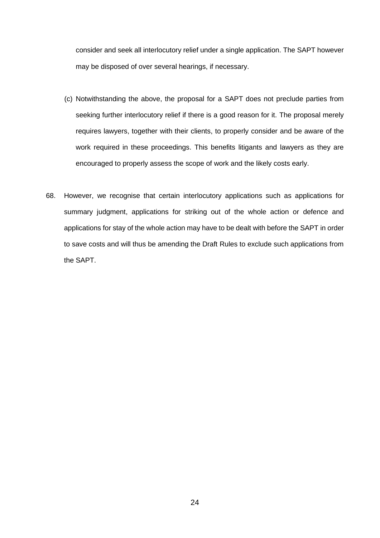consider and seek all interlocutory relief under a single application. The SAPT however may be disposed of over several hearings, if necessary.

- (c) Notwithstanding the above, the proposal for a SAPT does not preclude parties from seeking further interlocutory relief if there is a good reason for it. The proposal merely requires lawyers, together with their clients, to properly consider and be aware of the work required in these proceedings. This benefits litigants and lawyers as they are encouraged to properly assess the scope of work and the likely costs early.
- 68. However, we recognise that certain interlocutory applications such as applications for summary judgment, applications for striking out of the whole action or defence and applications for stay of the whole action may have to be dealt with before the SAPT in order to save costs and will thus be amending the Draft Rules to exclude such applications from the SAPT.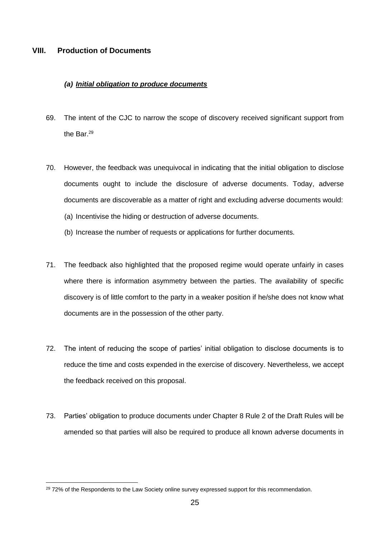#### <span id="page-24-0"></span>**VIII. Production of Documents**

#### *(a) Initial obligation to produce documents*

- 69. The intent of the CJC to narrow the scope of discovery received significant support from the Bar. 29
- 70. However, the feedback was unequivocal in indicating that the initial obligation to disclose documents ought to include the disclosure of adverse documents. Today, adverse documents are discoverable as a matter of right and excluding adverse documents would: (a) Incentivise the hiding or destruction of adverse documents.
	- (b) Increase the number of requests or applications for further documents.
- 71. The feedback also highlighted that the proposed regime would operate unfairly in cases where there is information asymmetry between the parties. The availability of specific discovery is of little comfort to the party in a weaker position if he/she does not know what documents are in the possession of the other party.
- 72. The intent of reducing the scope of parties' initial obligation to disclose documents is to reduce the time and costs expended in the exercise of discovery. Nevertheless, we accept the feedback received on this proposal.
- 73. Parties' obligation to produce documents under Chapter 8 Rule 2 of the Draft Rules will be amended so that parties will also be required to produce all known adverse documents in

<sup>&</sup>lt;sup>29</sup> 72% of the Respondents to the Law Society online survey expressed support for this recommendation.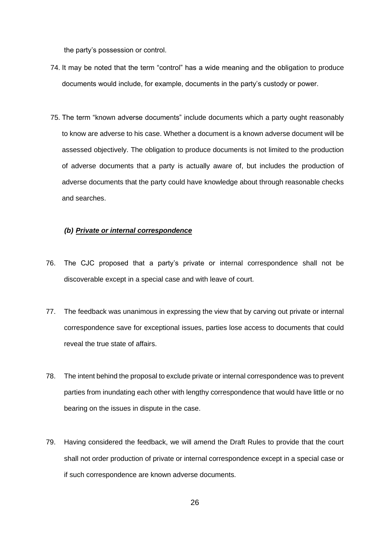the party's possession or control.

- 74. It may be noted that the term "control" has a wide meaning and the obligation to produce documents would include, for example, documents in the party's custody or power.
- 75. The term "known adverse documents" include documents which a party ought reasonably to know are adverse to his case. Whether a document is a known adverse document will be assessed objectively. The obligation to produce documents is not limited to the production of adverse documents that a party is actually aware of, but includes the production of adverse documents that the party could have knowledge about through reasonable checks and searches.

#### *(b) Private or internal correspondence*

- 76. The CJC proposed that a party's private or internal correspondence shall not be discoverable except in a special case and with leave of court.
- 77. The feedback was unanimous in expressing the view that by carving out private or internal correspondence save for exceptional issues, parties lose access to documents that could reveal the true state of affairs.
- 78. The intent behind the proposal to exclude private or internal correspondence was to prevent parties from inundating each other with lengthy correspondence that would have little or no bearing on the issues in dispute in the case.
- 79. Having considered the feedback, we will amend the Draft Rules to provide that the court shall not order production of private or internal correspondence except in a special case or if such correspondence are known adverse documents.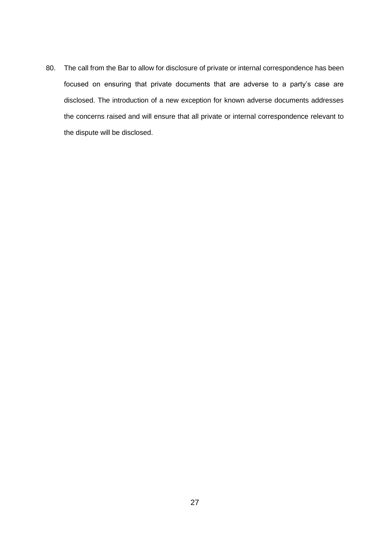80. The call from the Bar to allow for disclosure of private or internal correspondence has been focused on ensuring that private documents that are adverse to a party's case are disclosed. The introduction of a new exception for known adverse documents addresses the concerns raised and will ensure that all private or internal correspondence relevant to the dispute will be disclosed.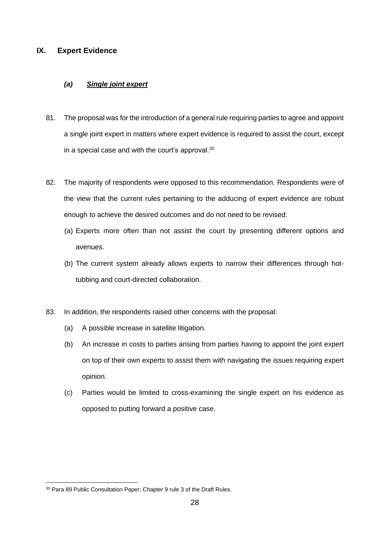#### <span id="page-27-0"></span>**IX. Expert Evidence**

#### *(a) Single joint expert*

- 81. The proposal was for the introduction of a general rule requiring parties to agree and appoint a single joint expert in matters where expert evidence is required to assist the court, except in a special case and with the court's approval. $^{30}$
- 82. The majority of respondents were opposed to this recommendation. Respondents were of the view that the current rules pertaining to the adducing of expert evidence are robust enough to achieve the desired outcomes and do not need to be revised:
	- (a) Experts more often than not assist the court by presenting different options and avenues.
	- (b) The current system already allows experts to narrow their differences through hottubbing and court-directed collaboration.
- 83. In addition, the respondents raised other concerns with the proposal:
	- (a) A possible increase in satellite litigation.
	- (b) An increase in costs to parties arising from parties having to appoint the joint expert on top of their own experts to assist them with navigating the issues requiring expert opinion.
	- (c) Parties would be limited to cross-examining the single expert on his evidence as opposed to putting forward a positive case.

<sup>30</sup> Para 89 Public Consultation Paper; Chapter 9 rule 3 of the Draft Rules.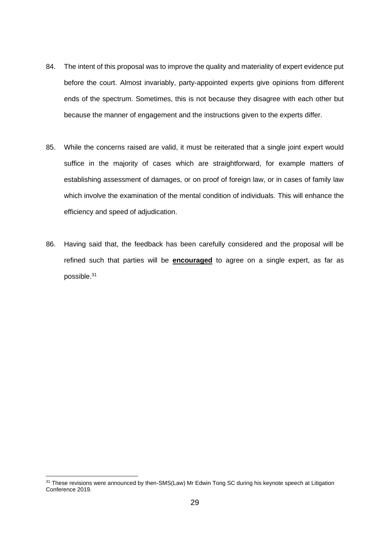- 84. The intent of this proposal was to improve the quality and materiality of expert evidence put before the court. Almost invariably, party-appointed experts give opinions from different ends of the spectrum. Sometimes, this is not because they disagree with each other but because the manner of engagement and the instructions given to the experts differ.
- 85. While the concerns raised are valid, it must be reiterated that a single joint expert would suffice in the majority of cases which are straightforward, for example matters of establishing assessment of damages, or on proof of foreign law, or in cases of family law which involve the examination of the mental condition of individuals. This will enhance the efficiency and speed of adjudication.
- 86. Having said that, the feedback has been carefully considered and the proposal will be refined such that parties will be **encouraged** to agree on a single expert, as far as possible. 31

<sup>&</sup>lt;sup>31</sup> These revisions were announced by then-SMS(Law) Mr Edwin Tong SC during his keynote speech at Litigation Conference 2019.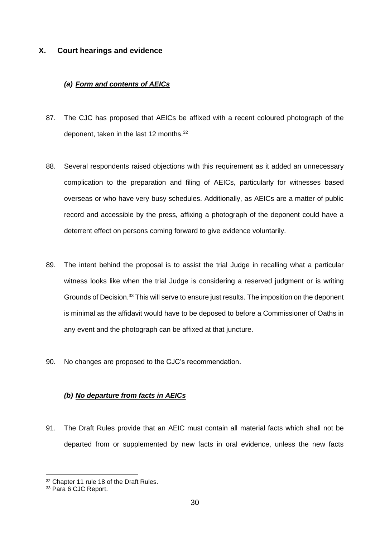#### **X. Court hearings and evidence**

#### *(a) Form and contents of AEICs*

- 87. The CJC has proposed that AEICs be affixed with a recent coloured photograph of the deponent, taken in the last 12 months.<sup>32</sup>
- 88. Several respondents raised objections with this requirement as it added an unnecessary complication to the preparation and filing of AEICs, particularly for witnesses based overseas or who have very busy schedules. Additionally, as AEICs are a matter of public record and accessible by the press, affixing a photograph of the deponent could have a deterrent effect on persons coming forward to give evidence voluntarily.
- 89. The intent behind the proposal is to assist the trial Judge in recalling what a particular witness looks like when the trial Judge is considering a reserved judgment or is writing Grounds of Decision.<sup>33</sup> This will serve to ensure just results. The imposition on the deponent is minimal as the affidavit would have to be deposed to before a Commissioner of Oaths in any event and the photograph can be affixed at that juncture.
- 90. No changes are proposed to the CJC's recommendation.

#### *(b) No departure from facts in AEICs*

91. The Draft Rules provide that an AEIC must contain all material facts which shall not be departed from or supplemented by new facts in oral evidence, unless the new facts

<sup>32</sup> Chapter 11 rule 18 of the Draft Rules.

<sup>33</sup> Para 6 CJC Report.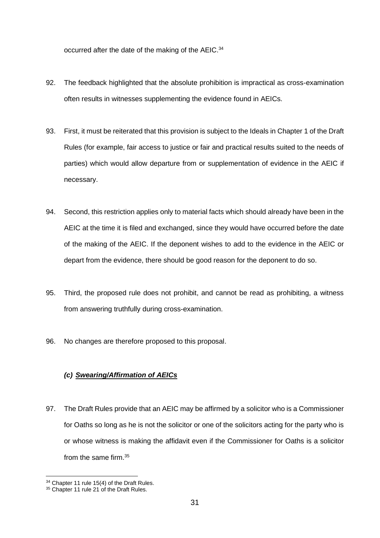occurred after the date of the making of the AEIC.<sup>34</sup>

- 92. The feedback highlighted that the absolute prohibition is impractical as cross-examination often results in witnesses supplementing the evidence found in AEICs.
- 93. First, it must be reiterated that this provision is subject to the Ideals in Chapter 1 of the Draft Rules (for example, fair access to justice or fair and practical results suited to the needs of parties) which would allow departure from or supplementation of evidence in the AEIC if necessary.
- 94. Second, this restriction applies only to material facts which should already have been in the AEIC at the time it is filed and exchanged, since they would have occurred before the date of the making of the AEIC. If the deponent wishes to add to the evidence in the AEIC or depart from the evidence, there should be good reason for the deponent to do so.
- 95. Third, the proposed rule does not prohibit, and cannot be read as prohibiting, a witness from answering truthfully during cross-examination.
- 96. No changes are therefore proposed to this proposal.

#### *(c) Swearing/Affirmation of AEICs*

97. The Draft Rules provide that an AEIC may be affirmed by a solicitor who is a Commissioner for Oaths so long as he is not the solicitor or one of the solicitors acting for the party who is or whose witness is making the affidavit even if the Commissioner for Oaths is a solicitor from the same firm.<sup>35</sup>

<sup>&</sup>lt;sup>34</sup> Chapter 11 rule 15(4) of the Draft Rules.

<sup>&</sup>lt;sup>35</sup> Chapter 11 rule 21 of the Draft Rules.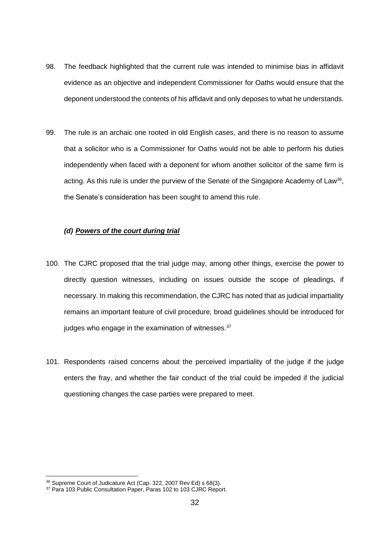- 98. The feedback highlighted that the current rule was intended to minimise bias in affidavit evidence as an objective and independent Commissioner for Oaths would ensure that the deponent understood the contents of his affidavit and only deposes to what he understands.
- 99. The rule is an archaic one rooted in old English cases, and there is no reason to assume that a solicitor who is a Commissioner for Oaths would not be able to perform his duties independently when faced with a deponent for whom another solicitor of the same firm is acting. As this rule is under the purview of the Senate of the Singapore Academy of Law<sup>36</sup>, the Senate's consideration has been sought to amend this rule.

#### *(d) Powers of the court during trial*

- 100. The CJRC proposed that the trial judge may, among other things, exercise the power to directly question witnesses, including on issues outside the scope of pleadings, if necessary. In making this recommendation, the CJRC has noted that as judicial impartiality remains an important feature of civil procedure, broad guidelines should be introduced for judges who engage in the examination of witnesses.<sup>37</sup>
- 101. Respondents raised concerns about the perceived impartiality of the judge if the judge enters the fray, and whether the fair conduct of the trial could be impeded if the judicial questioning changes the case parties were prepared to meet.

<sup>36</sup> Supreme Court of Judicature Act (Cap. 322, 2007 Rev Ed) s 68(3).

<sup>&</sup>lt;sup>37</sup> Para 103 Public Consultation Paper, Paras 102 to 103 CJRC Report.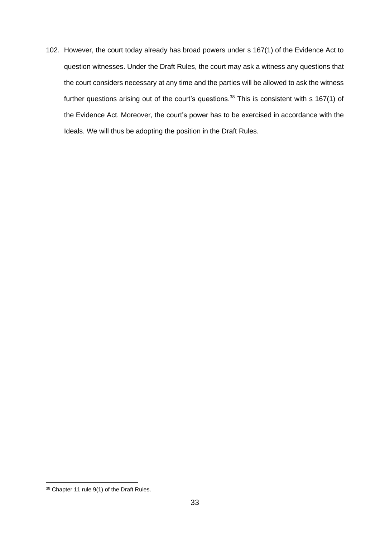102. However, the court today already has broad powers under s 167(1) of the Evidence Act to question witnesses. Under the Draft Rules, the court may ask a witness any questions that the court considers necessary at any time and the parties will be allowed to ask the witness further questions arising out of the court's questions.<sup>38</sup> This is consistent with s 167(1) of the Evidence Act. Moreover, the court's power has to be exercised in accordance with the Ideals. We will thus be adopting the position in the Draft Rules.

<sup>38</sup> Chapter 11 rule 9(1) of the Draft Rules.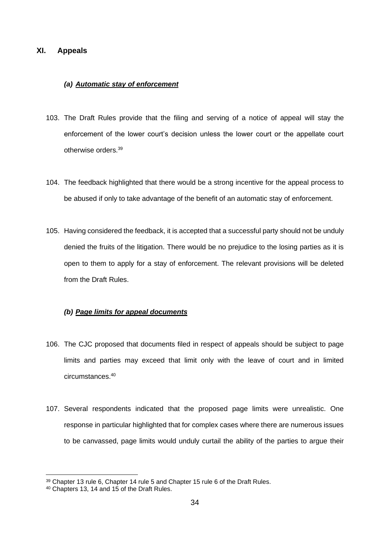#### <span id="page-33-0"></span>**XI. Appeals**

#### *(a) Automatic stay of enforcement*

- 103. The Draft Rules provide that the filing and serving of a notice of appeal will stay the enforcement of the lower court's decision unless the lower court or the appellate court otherwise orders. 39
- 104. The feedback highlighted that there would be a strong incentive for the appeal process to be abused if only to take advantage of the benefit of an automatic stay of enforcement.
- 105. Having considered the feedback, it is accepted that a successful party should not be unduly denied the fruits of the litigation. There would be no prejudice to the losing parties as it is open to them to apply for a stay of enforcement. The relevant provisions will be deleted from the Draft Rules.

#### *(b) Page limits for appeal documents*

- 106. The CJC proposed that documents filed in respect of appeals should be subject to page limits and parties may exceed that limit only with the leave of court and in limited circumstances. 40
- 107. Several respondents indicated that the proposed page limits were unrealistic. One response in particular highlighted that for complex cases where there are numerous issues to be canvassed, page limits would unduly curtail the ability of the parties to argue their

<sup>39</sup> Chapter 13 rule 6, Chapter 14 rule 5 and Chapter 15 rule 6 of the Draft Rules.

<sup>40</sup> Chapters 13, 14 and 15 of the Draft Rules.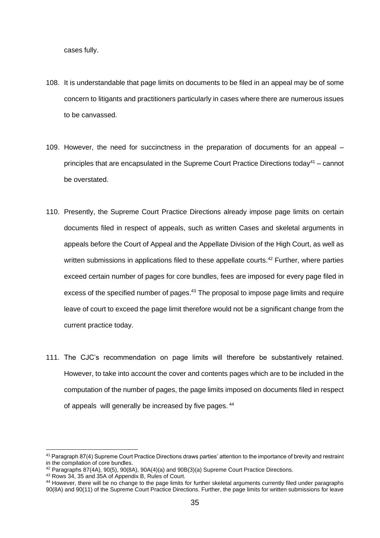cases fully.

- 108. It is understandable that page limits on documents to be filed in an appeal may be of some concern to litigants and practitioners particularly in cases where there are numerous issues to be canvassed.
- 109. However, the need for succinctness in the preparation of documents for an appeal principles that are encapsulated in the Supreme Court Practice Directions today<sup>41</sup> – cannot be overstated.
- 110. Presently, the Supreme Court Practice Directions already impose page limits on certain documents filed in respect of appeals, such as written Cases and skeletal arguments in appeals before the Court of Appeal and the Appellate Division of the High Court, as well as written submissions in applications filed to these appellate courts.<sup>42</sup> Further, where parties exceed certain number of pages for core bundles, fees are imposed for every page filed in excess of the specified number of pages.<sup>43</sup> The proposal to impose page limits and require leave of court to exceed the page limit therefore would not be a significant change from the current practice today.
- 111. The CJC's recommendation on page limits will therefore be substantively retained. However, to take into account the cover and contents pages which are to be included in the computation of the number of pages, the page limits imposed on documents filed in respect of appeals will generally be increased by five pages.  $44$

<sup>41</sup> Paragraph 87(4) Supreme Court Practice Directions draws parties' attention to the importance of brevity and restraint in the compilation of core bundles.

 $42$  Paragraphs 87(4A), 90(5), 90(8A), 90A(4)(a) and 90B(3)(a) Supreme Court Practice Directions.

<sup>43</sup> Rows 34, 35 and 35A of Appendix B, Rules of Court.

<sup>44</sup> However, there will be no change to the page limits for further skeletal arguments currently filed under paragraphs 90(8A) and 90(11) of the Supreme Court Practice Directions. Further, the page limits for written submissions for leave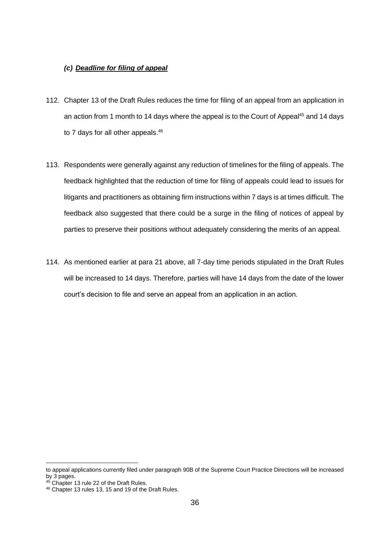#### *(c) Deadline for filing of appeal*

- 112. Chapter 13 of the Draft Rules reduces the time for filing of an appeal from an application in an action from 1 month to 14 days where the appeal is to the Court of Appeal<sup>45</sup> and 14 days to 7 days for all other appeals.<sup>46</sup>
- 113. Respondents were generally against any reduction of timelines for the filing of appeals. The feedback highlighted that the reduction of time for filing of appeals could lead to issues for litigants and practitioners as obtaining firm instructions within 7 days is at times difficult. The feedback also suggested that there could be a surge in the filing of notices of appeal by parties to preserve their positions without adequately considering the merits of an appeal.
- 114. As mentioned earlier at para 21 above, all 7-day time periods stipulated in the Draft Rules will be increased to 14 days. Therefore, parties will have 14 days from the date of the lower court's decision to file and serve an appeal from an application in an action.

to appeal applications currently filed under paragraph 90B of the Supreme Court Practice Directions will be increased by 3 pages.

<sup>45</sup> Chapter 13 rule 22 of the Draft Rules.

<sup>46</sup> Chapter 13 rules 13, 15 and 19 of the Draft Rules.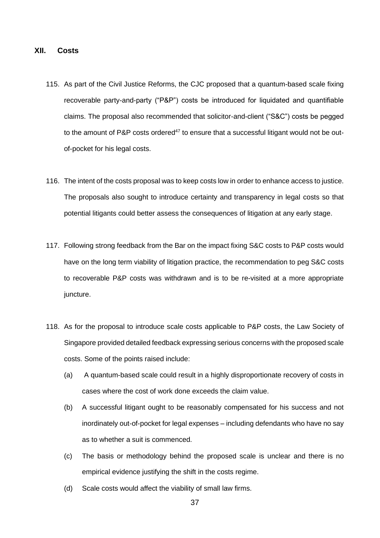#### <span id="page-36-0"></span>**XII. Costs**

- 115. As part of the Civil Justice Reforms, the CJC proposed that a quantum-based scale fixing recoverable party-and-party ("P&P") costs be introduced for liquidated and quantifiable claims. The proposal also recommended that solicitor-and-client ("S&C") costs be pegged to the amount of P&P costs ordered<sup>47</sup> to ensure that a successful litigant would not be outof-pocket for his legal costs.
- 116. The intent of the costs proposal was to keep costs low in order to enhance access to justice. The proposals also sought to introduce certainty and transparency in legal costs so that potential litigants could better assess the consequences of litigation at any early stage.
- 117. Following strong feedback from the Bar on the impact fixing S&C costs to P&P costs would have on the long term viability of litigation practice, the recommendation to peg S&C costs to recoverable P&P costs was withdrawn and is to be re-visited at a more appropriate juncture.
- 118. As for the proposal to introduce scale costs applicable to P&P costs, the Law Society of Singapore provided detailed feedback expressing serious concerns with the proposed scale costs. Some of the points raised include:
	- (a) A quantum-based scale could result in a highly disproportionate recovery of costs in cases where the cost of work done exceeds the claim value.
	- (b) A successful litigant ought to be reasonably compensated for his success and not inordinately out-of-pocket for legal expenses – including defendants who have no say as to whether a suit is commenced.
	- (c) The basis or methodology behind the proposed scale is unclear and there is no empirical evidence justifying the shift in the costs regime.
	- (d) Scale costs would affect the viability of small law firms.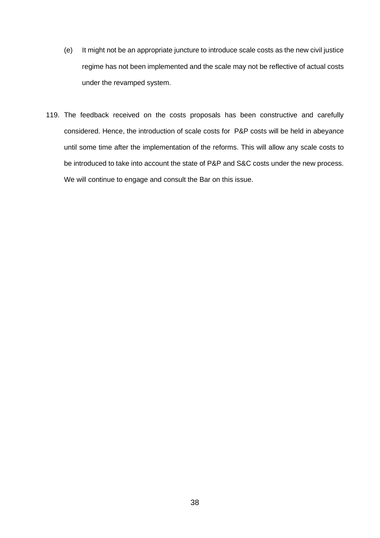- (e) It might not be an appropriate juncture to introduce scale costs as the new civil justice regime has not been implemented and the scale may not be reflective of actual costs under the revamped system.
- 119. The feedback received on the costs proposals has been constructive and carefully considered. Hence, the introduction of scale costs for P&P costs will be held in abeyance until some time after the implementation of the reforms. This will allow any scale costs to be introduced to take into account the state of P&P and S&C costs under the new process. We will continue to engage and consult the Bar on this issue.